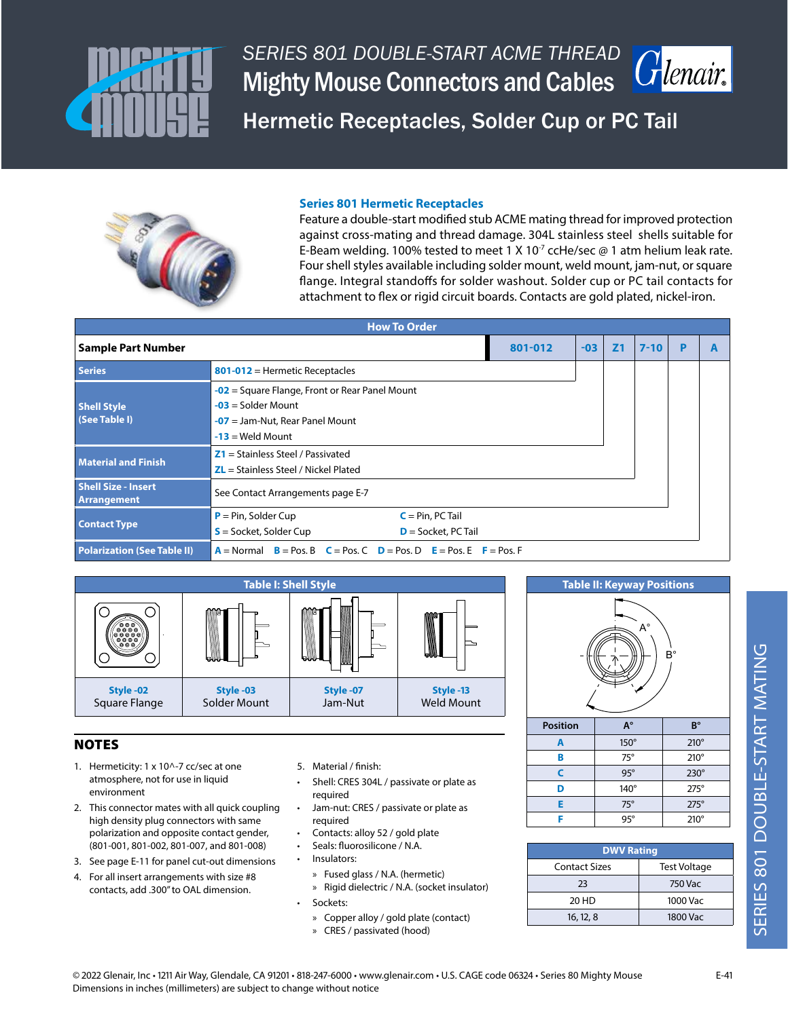

Henair

Hermetic Receptacles, Solder Cup or PC Tail



#### **Series 801 Hermetic Receptacles**

Feature a double-start modified stub ACME mating thread for improved protection against cross-mating and thread damage. 304L stainless steel shells suitable for E-Beam welding. 100% tested to meet 1 X 10<sup>-7</sup> ccHe/sec @ 1 atm helium leak rate. Four shell styles available including solder mount, weld mount, jam-nut, or square flange. Integral standoffs for solder washout. Solder cup or PC tail contacts for attachment to flex or rigid circuit boards. Contacts are gold plated, nickel-iron.

| <b>How To Order</b>                       |                                                                                                                                     |                |          |   |   |  |  |  |  |  |  |
|-------------------------------------------|-------------------------------------------------------------------------------------------------------------------------------------|----------------|----------|---|---|--|--|--|--|--|--|
| <b>Sample Part Number</b>                 | $-03$                                                                                                                               | Z <sub>1</sub> | $7 - 10$ | D | A |  |  |  |  |  |  |
| <b>Series</b>                             | 801-012 = Hermetic Receptacles                                                                                                      |                |          |   |   |  |  |  |  |  |  |
| <b>Shell Style</b><br>(See Table I)       | $-02$ = Square Flange, Front or Rear Panel Mount<br>$-03$ = Solder Mount<br>$-07$ = Jam-Nut, Rear Panel Mount<br>$-13$ = Weld Mount |                |          |   |   |  |  |  |  |  |  |
| <b>Material and Finish</b>                | $Z1 =$ Stainless Steel / Passivated<br>$ZL$ = Stainless Steel / Nickel Plated                                                       |                |          |   |   |  |  |  |  |  |  |
| <b>Shell Size - Insert</b><br>Arrangement | See Contact Arrangements page E-7                                                                                                   |                |          |   |   |  |  |  |  |  |  |
| <b>Contact Type</b>                       |                                                                                                                                     |                |          |   |   |  |  |  |  |  |  |
| <b>Polarization (See Table II)</b>        | $A = Normal$ $B = Pos. B$ $C = Pos. C$ $D = Pos. D$ $E = Pos. E$ $F = Pos. F$                                                       |                |          |   |   |  |  |  |  |  |  |



## **NOTES**

- 1. Hermeticity: 1 x 10^-7 cc/sec at one atmosphere, not for use in liquid environment
- 2. This connector mates with all quick coupling high density plug connectors with same polarization and opposite contact gender, (801-001, 801-002, 801-007, and 801-008)
- 3. See page E-11 for panel cut-out dimensions
- 4. For all insert arrangements with size #8 contacts, add .300" to OAL dimension.
- 5. Material / finish:
- Shell: CRES 304L / passivate or plate as required
- Jam-nut: CRES / passivate or plate as required
- Contacts: alloy 52 / gold plate
- Seals: fluorosilicone / N.A.
- Insulators:
	- » Fused glass / N.A. (hermetic)
	- » Rigid dielectric / N.A. (socket insulator)
- Sockets:
	- » Copper alloy / gold plate (contact)
	- » CRES / passivated (hood)



| <b>Position</b> | $A^{\circ}$ | $B^{\circ}$ |
|-----------------|-------------|-------------|
| А               | $150^\circ$ | $210^\circ$ |
| B               | $75^\circ$  | $210^\circ$ |
| C               | $95^\circ$  | $230^\circ$ |
| D               | $140^\circ$ | $275^\circ$ |
| F               | $75^\circ$  | $275^\circ$ |
|                 | $95^\circ$  | $210^\circ$ |

| <b>DWV Rating</b>    |                     |  |  |  |  |  |  |  |  |
|----------------------|---------------------|--|--|--|--|--|--|--|--|
| <b>Contact Sizes</b> | <b>Test Voltage</b> |  |  |  |  |  |  |  |  |
| 23                   | 750 Vac             |  |  |  |  |  |  |  |  |
| 20 HD                | 1000 Vac            |  |  |  |  |  |  |  |  |
| 16, 12, 8            | 1800 Vac            |  |  |  |  |  |  |  |  |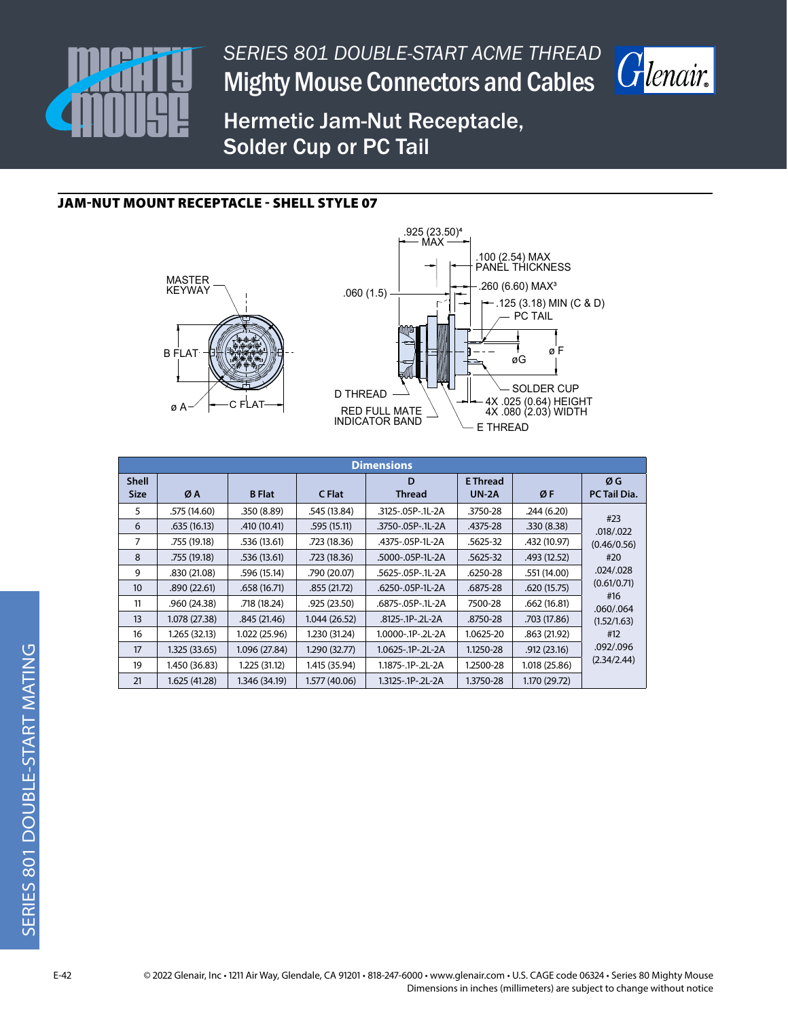



Hermetic Jam-Nut Receptacle, Solder Cup or PC Tail

### JAM-NUT MOUNT RECEPTACLE - SHELL STYLE 07





|                             | <b>Dimensions</b> |               |               |                              |                                 |               |                    |  |  |  |  |  |
|-----------------------------|-------------------|---------------|---------------|------------------------------|---------------------------------|---------------|--------------------|--|--|--|--|--|
| <b>Shell</b><br><b>Size</b> | ØA                | <b>B</b> Flat | C Flat        | D<br><b>Thread</b>           | <b>E</b> Thread<br><b>UN-2A</b> | ØF            | ØG<br>PC Tail Dia. |  |  |  |  |  |
|                             |                   |               |               |                              |                                 |               |                    |  |  |  |  |  |
| 5                           | .575 (14.60)      | .350(8.89)    | .545 (13.84)  | .3125-.05P-.1L-2A            | .3750-28                        | .244(6.20)    | #23                |  |  |  |  |  |
| 6                           | .635(16.13)       | .410 (10.41)  | .595 (15.11)  | .3750-.05P-.1L-2A            | .4375-28                        | .330(8.38)    | .018/.022          |  |  |  |  |  |
| 7                           | .755 (19.18)      | .536 (13.61)  | .723 (18.36)  | .4375-.05P-1L-2A<br>.5625-32 |                                 | .432 (10.97)  | (0.46/0.56)        |  |  |  |  |  |
| 8                           | .755 (19.18)      | .536 (13.61)  | .723 (18.36)  | .5000-.05P-1L-2A             | .5625-32                        | .493(12.52)   | #20                |  |  |  |  |  |
| 9                           | .830 (21.08)      | .596 (15.14)  | .790 (20.07)  | .5625-.05P-.1L-2A            | .6250-28                        | .551 (14.00)  | .024/.028          |  |  |  |  |  |
| 10 <sup>°</sup>             | .890 (22.61)      | .658 (16.71)  | .855(21.72)   | .6250-.05P-1L-2A             | .6875-28                        | .620(15.75)   | (0.61/0.71)<br>#16 |  |  |  |  |  |
| 11                          | .960 (24.38)      | .718 (18.24)  | .925 (23.50)  | .6875-.05P-.1L-2A            | 7500-28                         | .662(16.81)   | .060/.064          |  |  |  |  |  |
| 13                          | 1.078 (27.38)     | .845(21.46)   | 1.044(26.52)  | .8125-.1P-.2L-2A             | .8750-28                        | .703 (17.86)  | (1.52/1.63)        |  |  |  |  |  |
| 16                          | 1.265 (32.13)     | 1.022 (25.96) | 1.230 (31.24) | 1.0000-.1P-.2L-2A            | 1.0625-20                       | .863(21.92)   | #12                |  |  |  |  |  |
| 17                          | 1.325 (33.65)     | 1.096 (27.84) | 1.290 (32.77) | 1.0625-.1P-.2L-2A            | 1.1250-28                       | .912(23.16)   | .092/.096          |  |  |  |  |  |
| 19                          | 1.450 (36.83)     | 1.225 (31.12) | 1.415 (35.94) | 1.1875-.1P-.2L-2A            | 1.2500-28                       | 1.018 (25.86) | (2.34/2.44)        |  |  |  |  |  |
| 21                          | 1.625 (41.28)     | 1.346 (34.19) | 1.577 (40.06) | 1.3125-.1P-.2L-2A            | 1.3750-28                       | 1.170 (29.72) |                    |  |  |  |  |  |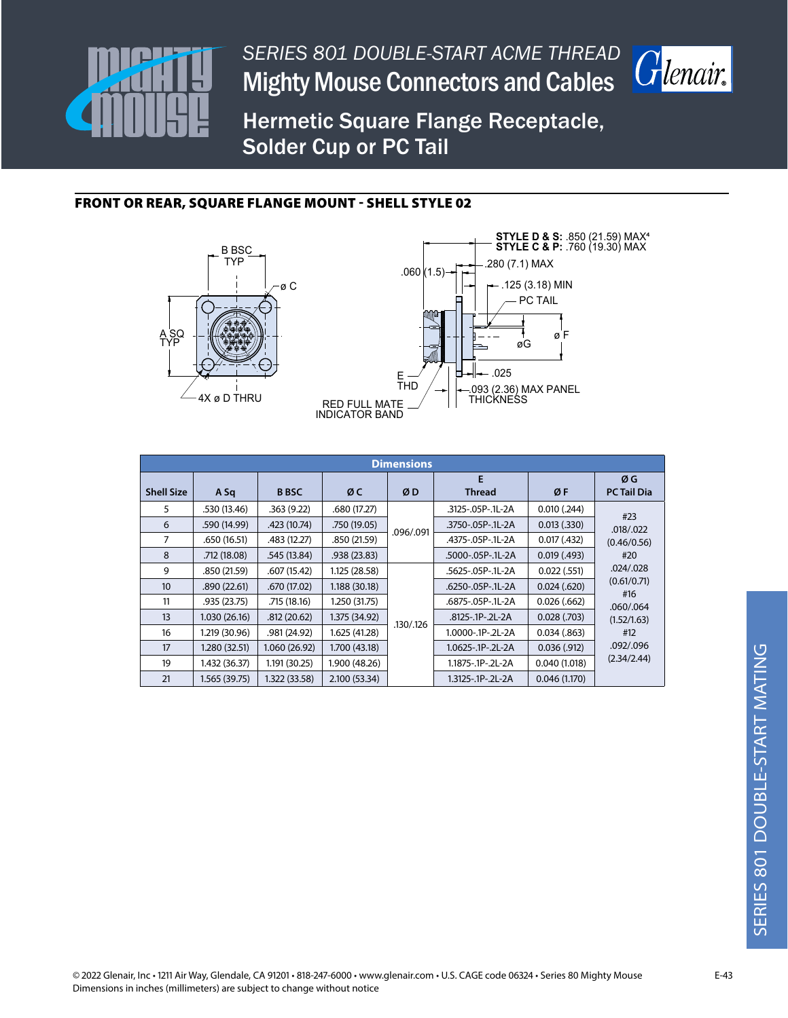



Hermetic Square Flange Receptacle, Solder Cup or PC Tail

### FRONT OR REAR, SQUARE FLANGE MOUNT - SHELL STYLE 02





| <b>Dimensions</b> |               |               |               |           |                    |                  |                          |  |  |  |  |
|-------------------|---------------|---------------|---------------|-----------|--------------------|------------------|--------------------------|--|--|--|--|
| <b>Shell Size</b> | A Sq          | <b>B</b> BSC  | ØC            | ØD        | E<br><b>Thread</b> | ØF               | ØG<br><b>PC Tail Dia</b> |  |  |  |  |
| 5                 | .530 (13.46)  | .363(9.22)    | .680 (17.27)  |           | .3125-.05P-.1L-2A  | $0.010$ $(.244)$ |                          |  |  |  |  |
| 6                 | .590 (14.99)  | .423 (10.74)  |               |           | .3750-.05P-.1L-2A  | $0.013$ $(.330)$ | #23<br>.018/.022         |  |  |  |  |
| 7                 | .650 (16.51)  | .483(12.27)   | .850 (21.59)  | .096/.091 | .4375-.05P-.1L-2A  | 0.017(0.432)     | (0.46/0.56)              |  |  |  |  |
| 8                 | .712 (18.08)  | .545(13.84)   | .938 (23.83)  |           | .5000-.05P-.1L-2A  | 0.019(0.493)     | #20                      |  |  |  |  |
| 9                 | .850 (21.59)  | .607(15.42)   | 1.125 (28.58) |           | .5625-.05P-.1L-2A  | $0.022$ (.551)   | .024/.028                |  |  |  |  |
| 10 <sup>10</sup>  | .890(22.61)   | .670 (17.02)  | 1.188 (30.18) |           | .6250-.05P-.1L-2A  | 0.024(.620)      | (0.61/0.71)              |  |  |  |  |
| 11                | .935 (23.75)  | .715 (18.16)  | 1.250 (31.75) |           | .6875-.05P-.1L-2A  | 0.026(.662)      | #16<br>.060/.064         |  |  |  |  |
| 13                | 1.030(26.16)  | .812 (20.62)  | 1.375 (34.92) |           | .8125-.1P-.2L-2A   | $0.028$ (.703)   | (1.52/1.63)              |  |  |  |  |
| 16                | 1.219 (30.96) | .981 (24.92)  | 1.625 (41.28) | .130/.126 | 1.0000-.1P-.2L-2A  | 0.034(.863)      | #12                      |  |  |  |  |
| 17                | 1.280 (32.51) | 1.060(26.92)  | 1.700 (43.18) |           | 1.0625-.1P-.2L-2A  | 0.036(.912)      | .092/.096                |  |  |  |  |
| 19                | 1.432 (36.37) | 1.191 (30.25) | 1.900 (48.26) |           | 1.1875-.1P-.2L-2A  | 0.040(1.018)     | (2.34/2.44)              |  |  |  |  |
| 21                | 1.565 (39.75) | 1.322 (33.58) | 2.100 (53.34) |           | 1.3125-.1P-.2L-2A  | 0.046(1.170)     |                          |  |  |  |  |